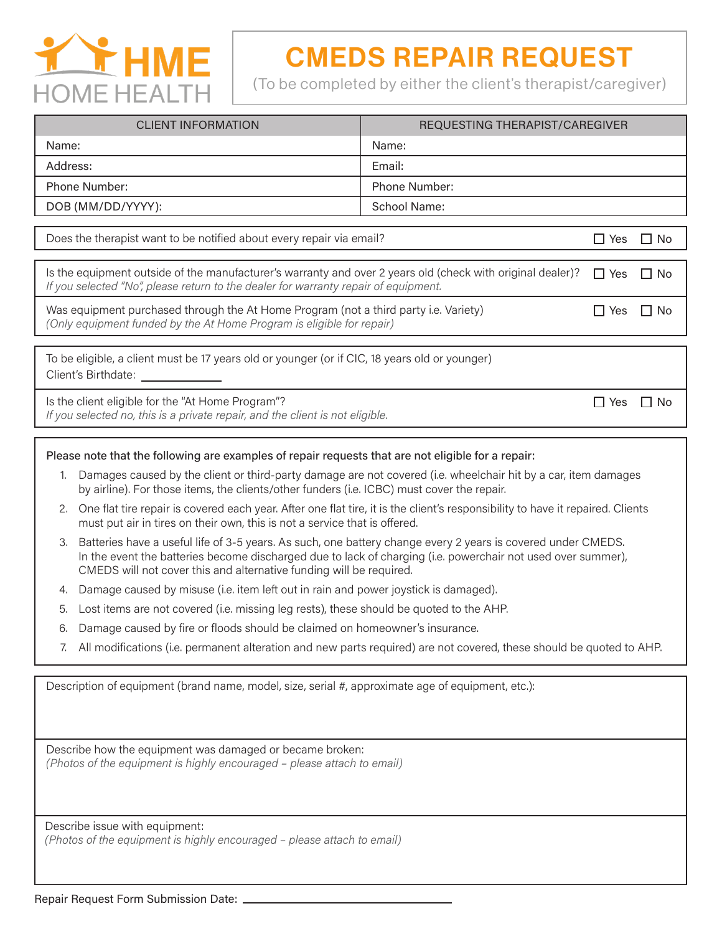

## CMEDS REPAIR REQUEST

(To be completed by either the client's therapist/caregiver)

| <b>CLIENT INFORMATION</b> | REQUESTING THERAPIST/CAREGIVER |  |
|---------------------------|--------------------------------|--|
| Name:                     | Name:                          |  |
| Address:                  | Email:                         |  |
| Phone Number:             | <b>Phone Number:</b>           |  |
| DOB (MM/DD/YYYY):         | School Name:                   |  |
|                           |                                |  |

Does the therapist want to be notified about every repair via email?  $\Box$  Yes  $\Box$  No

| Is the equipment outside of the manufacturer's warranty and over 2 years old (check with original dealer)? $\Box$ Yes $\Box$ No |  |  |
|---------------------------------------------------------------------------------------------------------------------------------|--|--|
| If you selected "No", please return to the dealer for warranty repair of equipment.                                             |  |  |
|                                                                                                                                 |  |  |

Was equipment purchased through the At Home Program (not a third party i.e. Variety) *(Only equipment funded by the At Home Program is eligible for repair)*

 $\Box$  Yes  $\Box$  No

 $\Box$  Yes  $\Box$  No

To be eligible, a client must be 17 years old or younger (or if CIC, 18 years old or younger) Client's Birthdate:

Is the client eligible for the "At Home Program"?

*If you selected no, this is a private repair, and the client is not eligible.*

## Please note that the following are examples of repair requests that are not eligible for a repair:

- 1. Damages caused by the client or third-party damage are not covered (i.e. wheelchair hit by a car, item damages by airline). For those items, the clients/other funders (i.e. ICBC) must cover the repair.
- 2. One flat tire repair is covered each year. After one flat tire, it is the client's responsibility to have it repaired. Clients must put air in tires on their own, this is not a service that is offered.
- 3. Batteries have a useful life of 3-5 years. As such, one battery change every 2 years is covered under CMEDS. In the event the batteries become discharged due to lack of charging (i.e. powerchair not used over summer), CMEDS will not cover this and alternative funding will be required.
- 4. Damage caused by misuse (i.e. item left out in rain and power joystick is damaged).
- 5. Lost items are not covered (i.e. missing leg rests), these should be quoted to the AHP.
- 6. Damage caused by fire or floods should be claimed on homeowner's insurance.
- 7. All modifications (i.e. permanent alteration and new parts required) are not covered, these should be quoted to AHP.

Description of equipment (brand name, model, size, serial #, approximate age of equipment, etc.):

Describe how the equipment was damaged or became broken: *(Photos of the equipment is highly encouraged – please attach to email)*

Describe issue with equipment: *(Photos of the equipment is highly encouraged – please attach to email)*

Repair Request Form Submission Date: